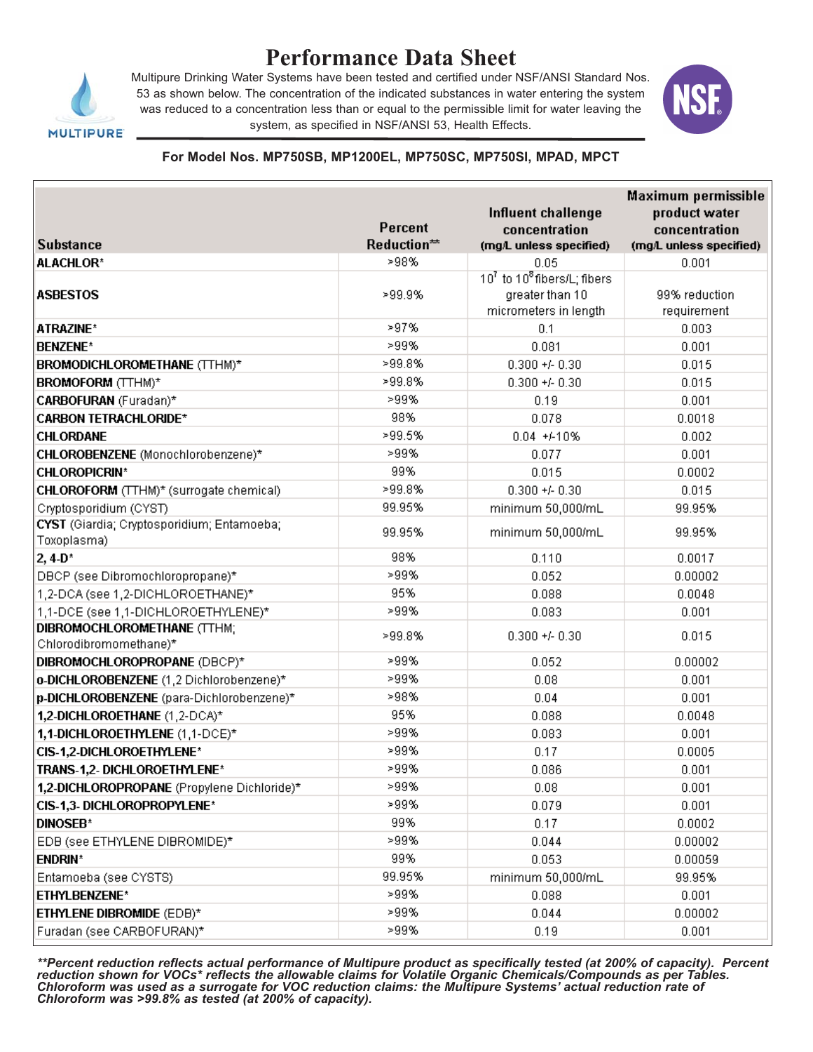

# **Performance Data Sheet**

Multipure Drinking Water Systems have been tested and certified under NSF/ANSI Standard Nos. 53 as shown below. The concentration of the indicated substances in water entering the system was reduced to a concentration less than or equal to the permissible limit for water leaving the system, as specified in NSF/ANSI 53, Health Effects.



#### **For Model Nos. MP750SB, MP1200EL, MP750SC, MP750SI, MPAD, MPCT**

| <b>Substance</b>                                          | <b>Percent</b><br>Reduction** | Influent challenge<br>concentration<br>(mg/L unless specified) | Maximum permissible<br>product water<br>concentration<br>(mg/L unless specified) |
|-----------------------------------------------------------|-------------------------------|----------------------------------------------------------------|----------------------------------------------------------------------------------|
| <b>ALACHLOR*</b>                                          | >98%                          | 0.05                                                           | 0.001                                                                            |
|                                                           |                               | 107 to 108 fibers/L; fibers                                    |                                                                                  |
| <b>ASBESTOS</b>                                           | >99.9%                        | greater than 10                                                | 99% reduction                                                                    |
|                                                           |                               | micrometers in length                                          | requirement                                                                      |
| ATRAZINE*                                                 | >97%                          | 0.1                                                            | 0.003                                                                            |
| <b>BENZENE*</b>                                           | >99%                          | 0.081                                                          | 0.001                                                                            |
| BROMODICHLOROMETHANE (TTHM)*                              | >99.8%                        | $0.300 + 0.30$                                                 | 0.015                                                                            |
| <b>BROMOFORM</b> (TTHM)*                                  | >99.8%                        | $0.300 + 0.30$                                                 | 0.015                                                                            |
| CARBOFURAN (Furadan)*                                     | >99%                          | 0.19                                                           | 0.001                                                                            |
| <b>CARBON TETRACHLORIDE*</b>                              | 98%                           | 0.078                                                          | 0.0018                                                                           |
| <b>CHLORDANE</b>                                          | >99.5%                        | $0.04 + 410%$                                                  | 0.002                                                                            |
| CHLOROBENZENE (Monochlorobenzene)*                        | >99%                          | 0.077                                                          | 0.001                                                                            |
| <b>CHLOROPICRIN*</b>                                      | 99%                           | 0.015                                                          | 0.0002                                                                           |
| CHLOROFORM (TTHM)* (surrogate chemical)                   | >99.8%                        | $0.300 + 0.30$                                                 | 0.015                                                                            |
| Cryptosporidium (CYST)                                    | 99.95%                        | minimum 50,000/mL                                              | 99.95%                                                                           |
| CYST (Giardia; Cryptosporidium; Entamoeba;<br>Toxoplasma) | 99.95%                        | minimum 50,000/mL                                              | 99.95%                                                                           |
| $2, 4 - D^*$                                              | 98%                           | 0.110                                                          | 0.0017                                                                           |
| DBCP (see Dibromochloropropane)*                          | >99%                          | 0.052                                                          | 0.00002                                                                          |
| 1,2-DCA (see 1,2-DICHLOROETHANE)*                         | 95%                           | 0.088                                                          | 0.0048                                                                           |
| 1,1-DCE (see 1,1-DICHLOROETHYLENE)*                       | >99%                          | 0.083                                                          | 0.001                                                                            |
| DIBROMOCHLOROMETHANE (TTHM;                               | >99.8%                        | $0.300 + 0.30$                                                 | 0.015                                                                            |
| Chlorodibromomethane)*                                    |                               |                                                                |                                                                                  |
| DIBROMOCHLOROPROPANE (DBCP)*                              | >99%                          | 0.052                                                          | 0.00002                                                                          |
| o-DICHLOROBENZENE (1,2 Dichlorobenzene)*                  | >99%                          | 0.08                                                           | 0.001                                                                            |
| p-DICHLOROBENZENE (para-Dichlorobenzene)*                 | >98%                          | 0.04                                                           | 0.001                                                                            |
| 1,2-DICHLOROETHANE (1,2-DCA)*                             | 95%                           | 0.088                                                          | 0.0048                                                                           |
| 1,1-DICHLOROETHYLENE (1,1-DCE)*                           | >99%                          | 0.083                                                          | 0.001                                                                            |
| CIS-1,2-DICHLOROETHYLENE*                                 | >99%                          | 0.17                                                           | 0.0005                                                                           |
| TRANS-1,2- DICHLOROETHYLENE*                              | >99%                          | 0.086                                                          | 0.001                                                                            |
| 1,2-DICHLOROPROPANE (Propylene Dichloride)*               | >99%                          | 0.08                                                           | 0.001                                                                            |
| CIS-1,3- DICHLOROPROPYLENE*                               | >99%                          | 0.079                                                          | 0.001                                                                            |
| <b>DINOSEB*</b>                                           | 99%                           | 0.17                                                           | 0.0002                                                                           |
| EDB (see ETHYLENE DIBROMIDE)*                             | >99%                          | 0.044                                                          | 0.00002                                                                          |
| <b>ENDRIN*</b>                                            | 99%                           | 0.053                                                          | 0.00059                                                                          |
| Entamoeba (see CYSTS)                                     | 99.95%                        | minimum 50,000/mL                                              | 99.95%                                                                           |
| <b>ETHYLBENZENE*</b>                                      | >99%                          | 0.088                                                          | 0.001                                                                            |
| ETHYLENE DIBROMIDE (EDB)*                                 | >99%                          | 0.044                                                          | 0.00002                                                                          |
| Furadan (see CARBOFURAN)*                                 | >99%                          | 0.19                                                           | 0.001                                                                            |

*\*\*Percent reduction reflects actual performance of Multipure product as specifically tested (at 200% of capacity). Percent reduction shown for VOCs\* reflects the allowable claims for Volatile Organic Chemicals/Compounds as per Tables. Chloroform was used as a surrogate for VOC reduction claims: the Multipure Systems' actual reduction rate of Chloroform was >99.8% as tested (at 200% of capacity).*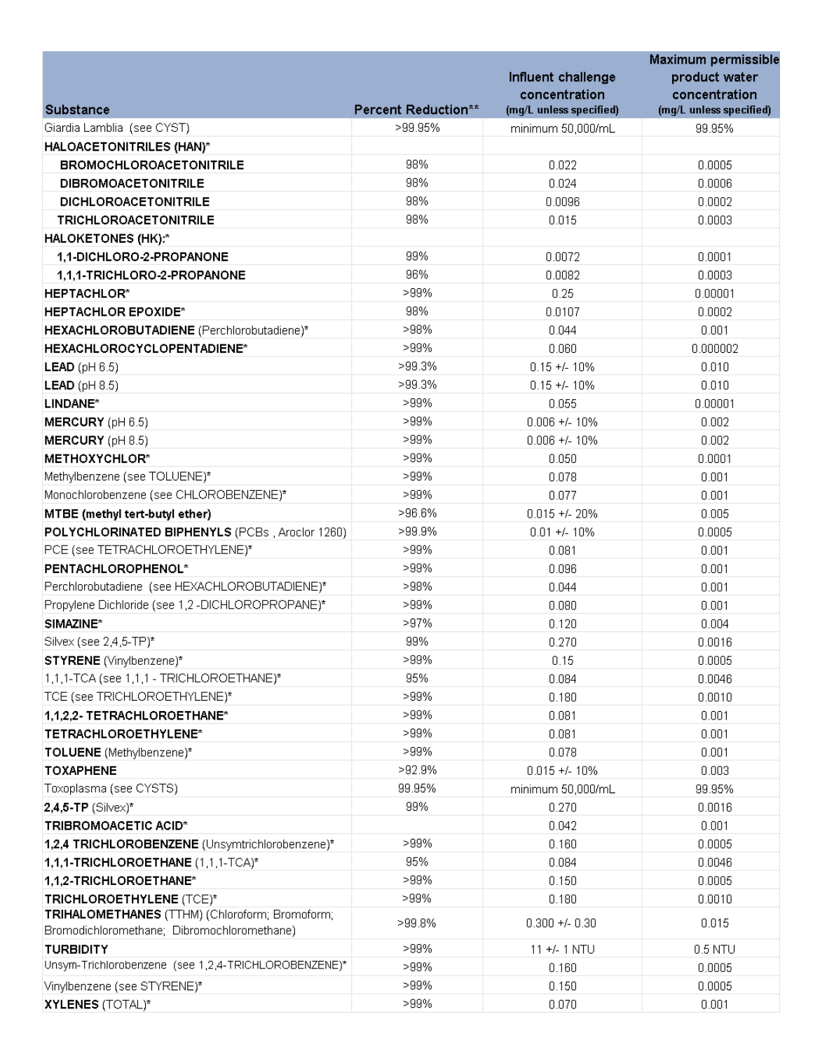|                                                                            |                                | Influent challenge<br>concentration | Maximum permissible<br>product water<br>concentration |
|----------------------------------------------------------------------------|--------------------------------|-------------------------------------|-------------------------------------------------------|
| <b>Substance</b>                                                           | Percent Reduction**<br>>99.95% | (mg/L unless specified)             | (mg/L unless specified)                               |
| Giardia Lamblia (see CYST)                                                 |                                | minimum 50,000/mL                   | 99.95%                                                |
| HALOACETONITRILES (HAN)*                                                   |                                |                                     |                                                       |
| <b>BROMOCHLOROACETONITRILE</b>                                             | 98%                            | 0.022                               | 0.0005                                                |
| <b>DIBROMOACETONITRILE</b>                                                 | 98%                            | 0.024                               | 0.0006                                                |
| DICHLOROACETONITRILE                                                       | 98%                            | 0.0096                              | 0.0002                                                |
| <b>TRICHLOROACETONITRILE</b>                                               | 98%                            | 0.015                               | 0.0003                                                |
| HALOKETONES (HK):*                                                         |                                |                                     |                                                       |
| 1,1-DICHLORO-2-PROPANONE                                                   | 99%                            | 0.0072                              | 0.0001                                                |
| 1,1,1-TRICHLORO-2-PROPANONE                                                | 96%                            | 0.0082                              | 0.0003                                                |
| <b>HEPTACHLOR*</b>                                                         | >99%                           | 0.25                                | 0.00001                                               |
| <b>HEPTACHLOR EPOXIDE*</b>                                                 | 98%                            | 0.0107                              | 0.0002                                                |
| HEXACHLOROBUTADIENE (Perchlorobutadiene)*                                  | >98%                           | 0.044                               | 0.001                                                 |
| HEXACHLOROCYCLOPENTADIENE*                                                 | >99%                           | 0.060                               | 0.000002                                              |
| <b>LEAD</b> ( $pH 6.5$ )                                                   | >99.3%                         | $0.15 + 1.10%$                      | 0.010                                                 |
| <b>LEAD</b> ( $pH 8.5$ )                                                   | >99.3%                         | $0.15 + 1.10%$                      | 0.010                                                 |
| LINDANE*                                                                   | >99%                           | 0.055                               | 0.00001                                               |
| MERCURY (pH 6.5)                                                           | >99%                           | $0.006 +/- 10%$                     | 0.002                                                 |
| <b>MERCURY</b> ( $pH 8.5$ )                                                | >99%                           | $0.006 +/- 10%$                     | 0.002                                                 |
| METHOXYCHLOR*                                                              | >99%                           | 0.050                               | 0.0001                                                |
| Methylbenzene (see TOLUENE)*                                               | >99%                           | 0.078                               | 0.001                                                 |
| Monochlorobenzene (see CHLOROBENZENE)*                                     | >99%                           | 0.077                               | 0.001                                                 |
| MTBE (methyl tert-butyl ether)                                             | >96.6%                         | $0.015 + 20%$                       | 0.005                                                 |
| POLYCHLORINATED BIPHENYLS (PCBs, Aroclor 1260)                             | >99.9%                         | $0.01 + 1.10%$                      | 0.0005                                                |
| PCE (see TETRACHLOROETHYLENE)*                                             | >99%                           | 0.081                               | 0.001                                                 |
| PENTACHLOROPHENOL*                                                         | >99%                           | 0.096                               | 0.001                                                 |
| Perchlorobutadiene (see HEXACHLOROBUTADIENE)*                              | >98%                           | 0.044                               | 0.001                                                 |
| Propylene Dichloride (see 1,2 -DICHLOROPROPANE)*                           | >99%                           | 0.080                               | 0.001                                                 |
| SIMAZINE*                                                                  | >97%                           | 0.120                               | 0.004                                                 |
| Silvex (see 2,4,5-TP)*                                                     | 99%                            | 0.270                               | 0.0016                                                |
| <b>STYRENE</b> (Vinylbenzene)*                                             | >99%                           | 0.15                                | 0.0005                                                |
| 1,1,1-TCA (see 1,1,1 - TRICHLOROETHANE)*                                   | 95%                            | 0.084                               | 0.0046                                                |
| TCE (see TRICHLOROETHYLENE)*                                               | >99%                           | 0.180                               | 0.0010                                                |
| 1,1,2,2- TETRACHLOROETHANE*                                                | >99%                           | 0.081                               | 0.001                                                 |
| TETRACHLOROETHYLENE*                                                       | >99%                           | 0.081                               | 0.001                                                 |
| TOLUENE (Methylbenzene)*                                                   | >99%                           | 0.078                               | 0.001                                                 |
| <b>TOXAPHENE</b>                                                           | >92.9%                         | $0.015 + 4.10%$                     | 0.003                                                 |
| Toxoplasma (see CYSTS)                                                     | 99.95%                         | minimum 50,000/mL                   | 99.95%                                                |
| $2,4,5$ -TP (Silvex)*                                                      | 99%                            | 0.270                               | 0.0016                                                |
| TRIBROMOACETIC ACID*                                                       |                                | 0.042                               | 0.001                                                 |
|                                                                            | >99%                           | 0.160                               | 0.0005                                                |
| 1,2,4 TRICHLOROBENZENE (Unsymtrichlorobenzene)*                            | 95%                            | 0.084                               | 0.0046                                                |
| 1,1,1-TRICHLOROETHANE (1,1,1-TCA)*                                         | >99%                           |                                     | 0.0005                                                |
| 1,1,2-TRICHLOROETHANE*                                                     | $>99\%$                        | 0.150                               |                                                       |
| TRICHLOROETHYLENE (TCE)*<br>TRIHALOMETHANES (TTHM) (Chloroform; Bromoform; |                                | 0.180                               | 0.0010                                                |
| Bromodichloromethane; Dibromochloromethane)                                | >99.8%                         | $0.300 + 0.30$                      | 0.015                                                 |
| <b>TURBIDITY</b>                                                           | >99%                           | $11 +/- 1$ NTU                      | $0.5$ NTU                                             |
| Unsym-Trichlorobenzene (see 1,2,4-TRICHLOROBENZENE)*                       | >99%                           | 0.160                               | 0.0005                                                |
| Vinylbenzene (see STYRENE)*                                                | >99%                           | 0.150                               | 0.0005                                                |
| XYLENES (TOTAL)*                                                           | >99%                           | 0.070                               | 0.001                                                 |
|                                                                            |                                |                                     |                                                       |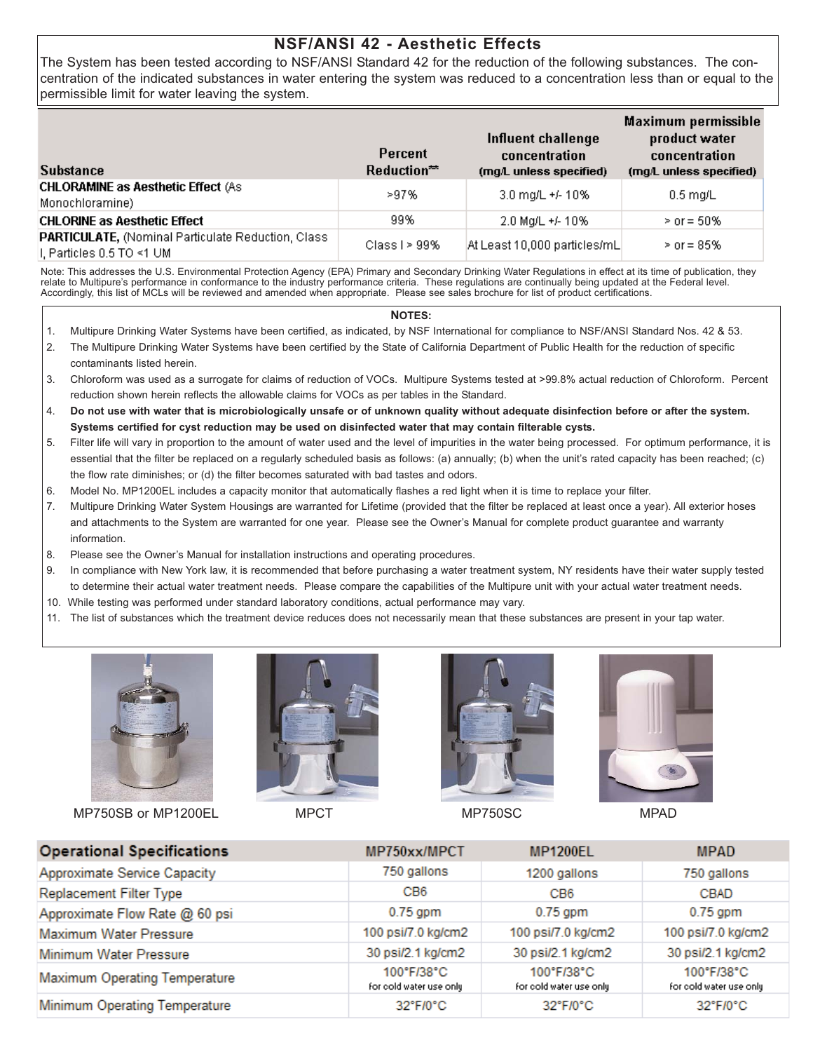## **NSF/ANSI 42 - Aesthetic Effects**

The System has been tested according to NSF/ANSI Standard 42 for the reduction of the following substances. The concentration of the indicated substances in water entering the system was reduced to a concentration less than or equal to the permissible limit for water leaving the system.

| <b>Substance</b>                                                                 | Percent<br>$Reduction**$ | Influent challenge<br>concentration<br>(mg/L unless specified) | Maximum permissible<br>product water<br>concentration<br>(mg/L unless specified) |
|----------------------------------------------------------------------------------|--------------------------|----------------------------------------------------------------|----------------------------------------------------------------------------------|
| <b>CHLORAMINE as Aesthetic Effect (As</b><br>Monochloramine)                     | >97%                     | 3.0 mg/L +/- 10%                                               | $0.5$ ma/L                                                                       |
| <b>CHLORINE as Aesthetic Effect</b>                                              | 99%                      | 2.0 Mg/L +/- 10%                                               | $>$ or = 50%                                                                     |
| PARTICULATE, (Nominal Particulate Reduction, Class<br>∣I, Particles 0.5 TO <1 UM | Class I $> 99\%$         | At Least 10,000 particles/mL                                   | $>$ or = 85%                                                                     |

Note: This addresses the U.S. Environmental Protection Agency (EPA) Primary and Secondary Drinking Water Regulations in effect at its time of publication, they relate to Multipure's performance in conformance to the industry performance criteria. These regulations are continually being updated at the Federal level. Accordingly, this list of MCLs will be reviewed and amended when appropriate. Please see sales brochure for list of product certifications.

#### **NOTES:**

- 1. Multipure Drinking Water Systems have been certified, as indicated, by NSF International for compliance to NSF/ANSI Standard Nos. 42 & 53.
- 2. The Multipure Drinking Water Systems have been certified by the State of California Department of Public Health for the reduction of specific contaminants listed herein.
- 3. Chloroform was used as a surrogate for claims of reduction of VOCs. Multipure Systems tested at >99.8% actual reduction of Chloroform. Percent reduction shown herein reflects the allowable claims for VOCs as per tables in the Standard.
- 4. **Do not use with water that is microbiologically unsafe or of unknown quality without adequate disinfection before or after the system. Systems certified for cyst reduction may be used on disinfected water that may contain filterable cysts.**
- 5. Filter life will vary in proportion to the amount of water used and the level of impurities in the water being processed. For optimum performance, it is essential that the filter be replaced on a regularly scheduled basis as follows: (a) annually; (b) when the unit's rated capacity has been reached; (c) the flow rate diminishes; or (d) the filter becomes saturated with bad tastes and odors.
- 6. Model No. MP1200EL includes a capacity monitor that automatically flashes a red light when it is time to replace your filter.
- 7. Multipure Drinking Water System Housings are warranted for Lifetime (provided that the filter be replaced at least once a year). All exterior hoses and attachments to the System are warranted for one year. Please see the Owner's Manual for complete product guarantee and warranty information.
- 8. Please see the Owner's Manual for installation instructions and operating procedures.
- 9. In compliance with New York law, it is recommended that before purchasing a water treatment system, NY residents have their water supply tested to determine their actual water treatment needs. Please compare the capabilities of the Multipure unit with your actual water treatment needs.
- 10. While testing was performed under standard laboratory conditions, actual performance may vary.
- 11. The list of substances which the treatment device reduces does not necessarily mean that these substances are present in your tap water.



MP750SB or MP1200EL MPCT MPCT MP750SC MPAD







| <b>Operational Specifications</b>    | MP750xx/MPCT                          | <b>MP1200EL</b>                       | <b>MPAD</b>                           |
|--------------------------------------|---------------------------------------|---------------------------------------|---------------------------------------|
| Approximate Service Capacity         | 750 gallons                           | 1200 gallons                          | 750 gallons                           |
| <b>Replacement Filter Type</b>       | CB <sub>6</sub>                       | CB <sub>6</sub>                       | <b>CBAD</b>                           |
| Approximate Flow Rate @ 60 psi       | $0.75$ gpm                            | $0.75$ gpm                            | $0.75$ gpm                            |
| <b>Maximum Water Pressure</b>        | 100 psi/7.0 kg/cm2                    | 100 psi/7.0 kg/cm2                    | 100 psi/7.0 kg/cm2                    |
| Minimum Water Pressure               | 30 psi/2.1 kg/cm2                     | 30 psi/2.1 kg/cm2                     | 30 psi/2.1 kg/cm2                     |
| <b>Maximum Operating Temperature</b> | 100°F/38°C<br>for cold water use only | 100°F/38°C<br>for cold water use only | 100°F/38°C<br>for cold water use only |
| Minimum Operating Temperature        | 32°F/0°C                              | 32°F/0°C                              | 32°F/0°C                              |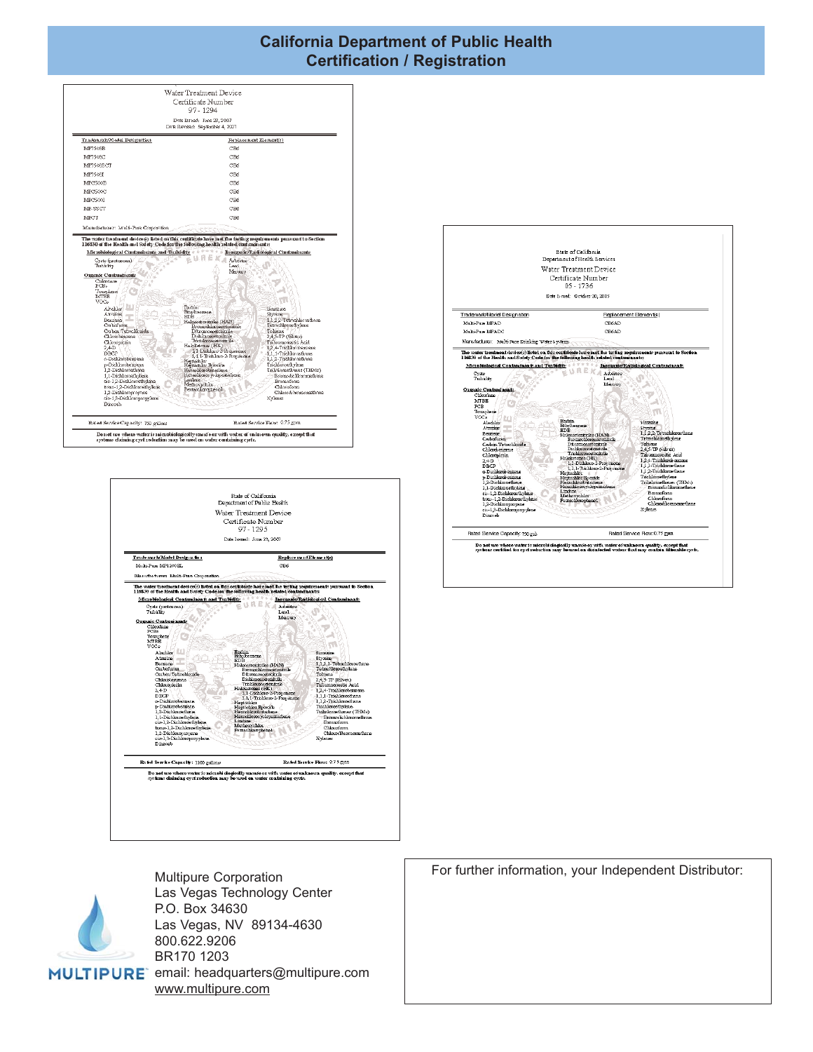### **California Department of Public Health Certification / Registration**









Multipure Corporation Las Vegas Technology Center P.O. Box 34630 Las Vegas, NV 89134-4630 800.622.9206 BR170 1203 MULTIPURE email: headquarters@multipure.com www.multipure.com

For further information, your Independent Distributor: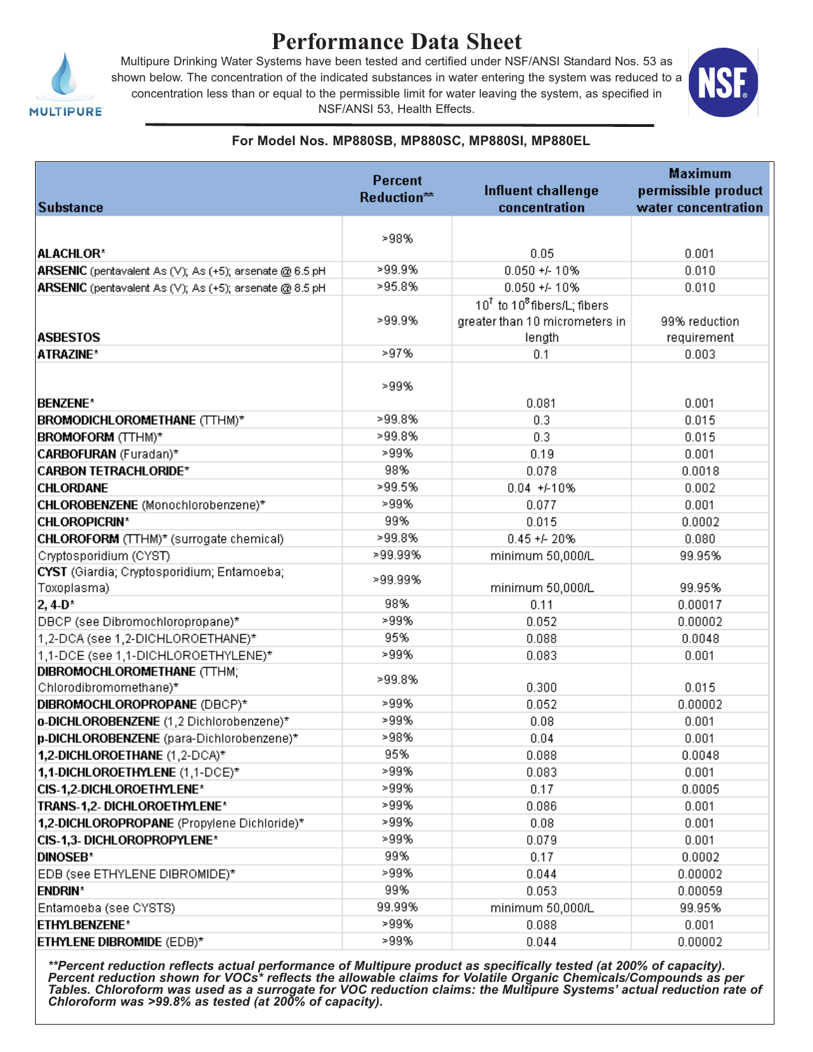

# **Performance Data Sheet**

Multipure Drinking Water Systems have been tested and certified under NSF/ANSI Standard Nos. 53 as shown below. The concentration of the indicated substances in water entering the system was reduced to a concentration less than or equal to the permissible limit for water leaving the system, as specified in NSF/ANSI 53, Health Effects.



#### **For Model Nos. MP880SB, MP880SC, MP880SI, MP880EL**

|                                                           | <b>Percent</b> | <b>Maximum</b>                                      |                     |
|-----------------------------------------------------------|----------------|-----------------------------------------------------|---------------------|
|                                                           | Reduction**    | <b>Influent challenge</b>                           | permissible product |
| <b>Substance</b>                                          |                | concentration                                       | water concentration |
|                                                           | >98%           |                                                     |                     |
| <b>ALACHLOR*</b>                                          |                | 0.05                                                | 0.001               |
| ARSENIC (pentavalent As (V); As (+5); arsenate @ 6.5 pH   | >99.9%         | $0.050 + 410%$                                      | 0.010               |
| ARSENIC (pentavalent As (V); As (+5); arsenate @ 8.5 pH   | >95.8%         | $0.050 + 410%$                                      | 0.010               |
|                                                           |                | 10 <sup>7</sup> to 10 <sup>8</sup> fibers/L; fibers |                     |
|                                                           | >99.9%         | greater than 10 micrometers in                      | 99% reduction       |
| <b>ASBESTOS</b>                                           |                | length                                              | requirement         |
| ATRAZINE*                                                 | >97%           | 0.1                                                 | 0.003               |
|                                                           | >99%           |                                                     |                     |
| <b>BENZENE*</b>                                           |                | 0.081                                               | 0.001               |
| BROMODICHLOROMETHANE (TTHM)*                              | >99.8%         | 0.3                                                 | 0.015               |
| <b>BROMOFORM</b> (TTHM)*                                  | >99.8%         | 0.3                                                 | 0.015               |
| CARBOFURAN (Furadan)*                                     | >99%           | 0.19                                                | 0.001               |
| <b>CARBON TETRACHLORIDE*</b>                              | 98%            | 0.078                                               | 0.0018              |
| <b>CHLORDANE</b>                                          | >99.5%         | $0.04 + 410%$                                       | 0.002               |
| CHLOROBENZENE (Monochlorobenzene)*                        | >99%           | 0.077                                               | 0.001               |
| <b>CHLOROPICRIN*</b>                                      | 99%            | 0.015                                               | 0.0002              |
| CHLOROFORM (TTHM)* (surrogate chemical)                   | >99.8%         | $0.45 + 20%$                                        | 0.080               |
| Cryptosporidium (CYST)                                    | >99.99%        | minimum 50,000/L                                    | 99.95%              |
| CYST (Giardia; Cryptosporidium; Entamoeba;<br>Toxoplasma) | >99.99%        | minimum 50,000/L                                    | 99.95%              |
| $2, 4 - D^*$                                              | 98%            | 0.11                                                | 0.00017             |
| DBCP (see Dibromochloropropane)*                          | >99%           | 0.052                                               | 0.00002             |
| 1,2-DCA (see 1,2-DICHLOROETHANE)*                         | 95%            | 0.088                                               | 0.0048              |
| 1,1-DCE (see 1,1-DICHLOROETHYLENE)*                       | >99%           | 0.083                                               | 0.001               |
| DIBROMOCHLOROMETHANE (TTHM;<br>Chlorodibromomethane)*     | >99.8%         | 0.300                                               | 0.015               |
| DIBROMOCHLOROPROPANE (DBCP)*                              | >99%           | 0.052                                               | 0.00002             |
| o-DICHLOROBENZENE (1,2 Dichlorobenzene)*                  | >99%           | 0.08                                                | 0.001               |
| p-DICHLOROBENZENE (para-Dichlorobenzene)*                 | >98%           | 0.04                                                | 0.001               |
| 1,2-DICHLOROETHANE (1,2-DCA)*                             | 95%            | 0.088                                               | 0.0048              |
| 1,1-DICHLOROETHYLENE (1,1-DCE)*                           | >99%           | 0.083                                               | 0.001               |
| CIS-1,2-DICHLOROETHYLENE*                                 | >99%           | 0.17                                                | 0.0005              |
| TRANS-1,2- DICHLOROETHYLENE*                              | >99%           | 0.086                                               | 0.001               |
| 1,2-DICHLOROPROPANE (Propylene Dichloride)*               | >99%           | 0.08                                                | 0.001               |
| CIS-1,3- DICHLOROPROPYLENE*                               | >99%           | 0.079                                               | 0.001               |
| <b>DINOSEB*</b>                                           | 99%            | 0.17                                                | 0.0002              |
| EDB (see ETHYLENE DIBROMIDE)*                             | >99%           | 0.044                                               | 0.00002             |
| <b>ENDRIN*</b>                                            | 99%            | 0.053                                               | 0.00059             |
| Entamoeba (see CYSTS)                                     | 99.99%         | minimum 50,000/L                                    | 99.95%              |
| <b>ETHYLBENZENE*</b>                                      | >99%           | 0.088                                               | 0.001               |
| ETHYLENE DIBROMIDE (EDB)*                                 | >99%           | 0.044                                               | 0.00002             |

*\*\*Percent reduction reflects actual performance of Multipure product as specifically tested (at 200% of capacity). Percent reduction shown for VOCs\* reflects the allowable claims for Volatile Organic Chemicals/Compounds as per Tables. Chloroform was used as a surrogate for VOC reduction claims: the Multipure Systems' actual reduction rate of Chloroform was >99.8% as tested (at 200% of capacity).*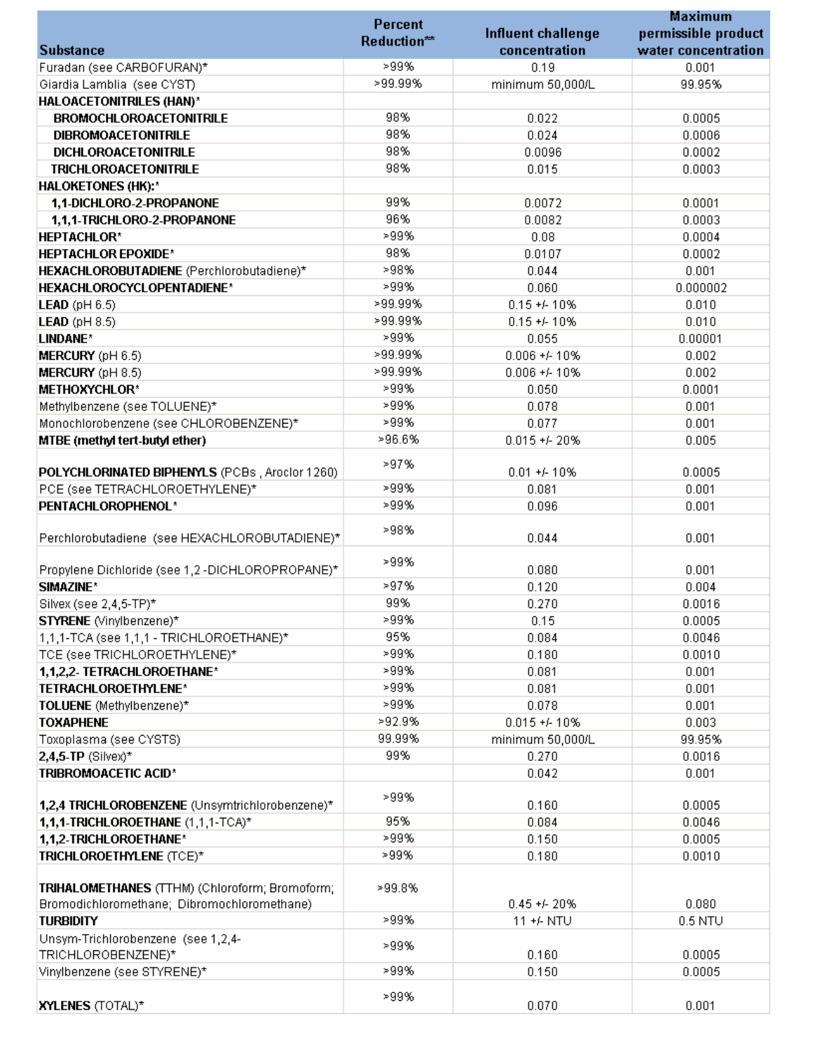| <b>Percent</b>                                   |             |                           | <b>Maximum</b>      |
|--------------------------------------------------|-------------|---------------------------|---------------------|
|                                                  | Reduction** | <b>Influent challenge</b> | permissible product |
| <b>Substance</b>                                 |             | concentration             | water concentration |
| Furadan (see CARBOFURAN)*                        | >99%        | 0.19                      | 0.001               |
| Giardia Lamblia (see CYST)                       | >99.99%     | minimum 50,000/L          | 99.95%              |
| <b>HALOACETONITRILES (HAN)*</b>                  |             |                           |                     |
| <b>BROMOCHLOROACETONITRILE</b>                   | 98%         | 0.022                     | 0.0005              |
| <b>DIBROMOACETONITRILE</b>                       | 98%         | 0.024                     | 0.0006              |
| <b>DICHLOROACETONITRILE</b>                      | 98%         | 0.0096                    | 0.0002              |
| <b>TRICHLOROACETONITRILE</b>                     | 98%         | 0.015                     | 0.0003              |
| <b>HALOKETONES (HK):*</b>                        |             |                           |                     |
| 1,1-DICHLORO-2-PROPANONE                         | 99%         | 0.0072                    | 0.0001              |
| 1,1,1-TRICHLORO-2-PROPANONE                      | 96%         | 0.0082                    | 0.0003              |
| <b>HEPTACHLOR*</b>                               | >99%        | 0.08                      | 0.0004              |
| <b>HEPTACHLOR EPOXIDE*</b>                       | 98%         | 0.0107                    | 0.0002              |
| HEXACHLOROBUTADIENE (Perchlorobutadiene)*        | >98%        | 0.044                     | 0.001               |
| HEXACHLOROCYCLOPENTADIENE*                       | >99%        | 0.060                     | 0.000002            |
| <b>LEAD</b> ( $pH 6.5$ )                         | >99.99%     | $0.15 + 10\%$             | 0.010               |
| <b>LEAD</b> ( $pH 8.5$ )                         | >99.99%     | $0.15 + 10\%$             | 0.010               |
| LINDANE*                                         | >99%        | 0.055                     | 0.00001             |
| MERCURY (pH 6.5)                                 | >99.99%     | $0.006 + 410%$            | 0.002               |
| MERCURY (pH 8.5)                                 | >99.99%     | $0.006 + 410%$            | 0.002               |
| <b>METHOXYCHLOR*</b>                             | >99%        | 0.050                     | 0.0001              |
| Methylbenzene (see TOLUENE)*                     | >99%        | 0.078                     | 0.001               |
| Monochlorobenzene (see CHLOROBENZENE)*           | >99%        | 0.077                     | 0.001               |
| MTBE (methyl tert-butyl ether)                   | >96.6%      | $0.015 + 20%$             | 0.005               |
|                                                  |             |                           |                     |
| POLYCHLORINATED BIPHENYLS (PCBs, Aroclor 1260)   | >97%        | $0.01 + 410%$             | 0.0005              |
| PCE (see TETRACHLOROETHYLENE)*                   | >99%        | 0.081                     | 0.001               |
| PENTACHLOROPHENOL*                               | >99%        | 0.096                     | 0.001               |
|                                                  |             |                           |                     |
| Perchlorobutadiene (see HEXACHLOROBUTADIENE)*    | >98%        | 0.044                     | 0.001               |
|                                                  | >99%        |                           |                     |
| Propylene Dichloride (see 1,2 -DICHLOROPROPANE)* |             | 0.080                     | 0.001               |
| SIMAZINE*                                        | >97%        | 0.120                     | 0.004               |
| Silvex (see 2,4,5-TP)*                           | 99%         | 0.270                     | 0.0016              |
| STYRENE (Vinylbenzene)*                          | >99%        | 0.15                      | 0.0005              |
| 1,1,1-TCA (see 1,1,1 - TRICHLOROETHANE)*         | 95%         | 0.084                     | 0.0046              |
| TCE (see TRICHLOROETHYLENE)*                     | >99%        | 0.180                     | 0.0010              |
| 1,1,2,2- TETRACHLOROETHANE*                      | >99%        | 0.081                     | 0.001               |
| TETRACHLOROETHYLENE*                             | >99%        | 0.081                     | 0.001               |
| TOLUENE (Methylbenzene)*                         | >99%        | 0.078                     | 0.001               |
| <b>TOXAPHENE</b>                                 | >92.9%      | $0.015 + 10%$             | 0.003               |
| Toxoplasma (see CYSTS)                           | 99.99%      | minimum 50,000/L          | 99.95%              |
| $2,4,5$ -TP (Silvex)*                            | 99%         | 0.270                     | 0.0016              |
| TRIBROMOACETIC ACID*                             |             | 0.042                     | 0.001               |
|                                                  | >99%        |                           |                     |
| 1,2,4 TRICHLOROBENZENE (Unsymtrichlorobenzene)*  |             | 0.160                     | 0.0005              |
| 1,1,1-TRICHLOROETHANE (1,1,1-TCA)*               | 95%         | 0.084                     | 0.0046              |
| 1,1,2-TRICHLOROETHANE*                           | >99%        | 0.150                     | 0.0005              |
| TRICHLOROETHYLENE (TCE)*                         | >99%        | 0.180                     | 0.0010              |
|                                                  |             |                           |                     |
| TRIHALOMETHANES (TTHM) (Chloroform; Bromoform;   | >99.8%      |                           |                     |
| Bromodichloromethane; Dibromochloromethane)      | >99%        | $0.45 + 20%$              | 0.080               |
| <b>TURBIDITY</b>                                 |             | 11 +/- NTU                | $0.5$ NTU           |
| Unsym-Trichlorobenzene (see 1,2,4-               | >99%        |                           |                     |
| TRICHLOROBENZENE)*                               | >99%        | 0.160                     | 0.0005              |
| Vinylbenzene (see STYRENE)*                      |             | 0.150                     | 0.0005              |
|                                                  | >99%        | 0.070                     | 0.001               |
| <b>XYLENES (TOTAL)*</b>                          |             |                           |                     |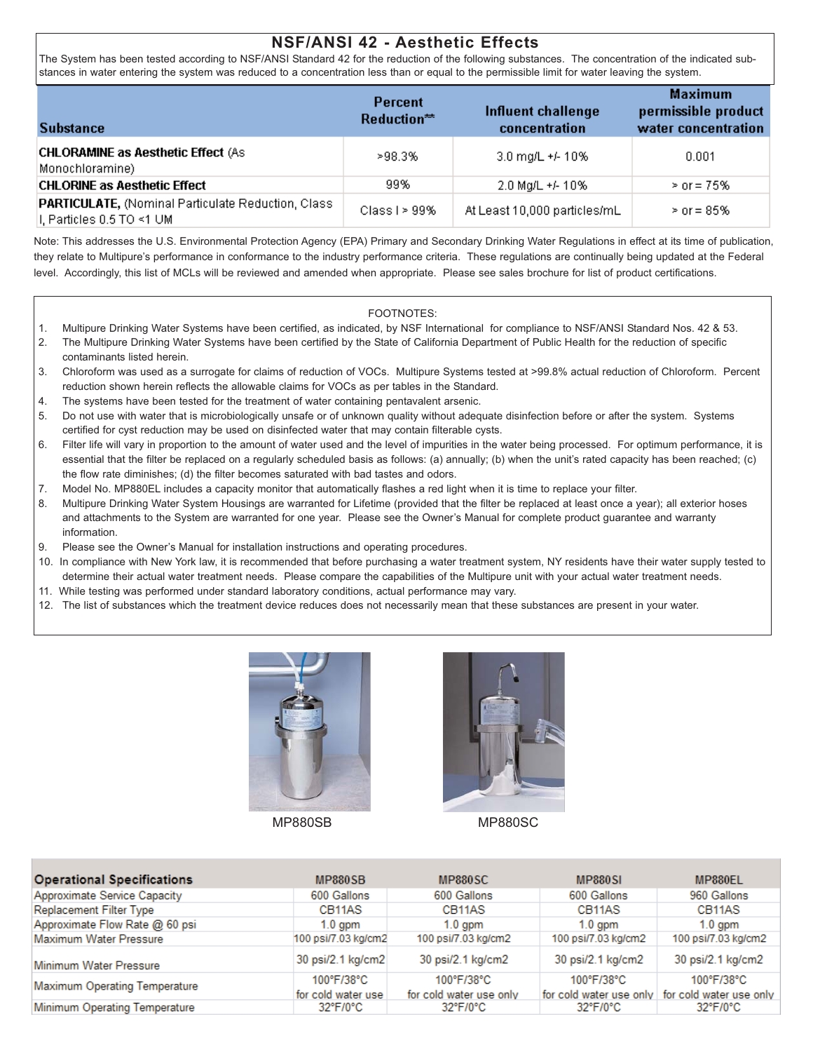## **NSF/ANSI 42 - Aesthetic Effects**

The System has been tested according to NSF/ANSI Standard 42 for the reduction of the following substances. The concentration of the indicated substances in water entering the system was reduced to a concentration less than or equal to the permissible limit for water leaving the system.

| <b>Substance</b>                                                                     | Percent<br>Reduction <sup>**</sup> | Influent challenge<br>concentration | <b>Maximum</b><br>permissible product<br>water concentration |
|--------------------------------------------------------------------------------------|------------------------------------|-------------------------------------|--------------------------------------------------------------|
| <b>CHLORAMINE as Aesthetic Effect (As</b><br>Monochloramine)                         | >98.3%                             | 3.0 mg/L +/- 10%                    | 0.001                                                        |
| <b>CHLORINE as Aesthetic Effect</b>                                                  | 99%                                | 2.0 Mg/L +/- 10%                    | $>$ or = 75%                                                 |
| PARTICULATE, (Nominal Particulate Reduction, Class<br>$ I $ , Particles 0.5 TO <1 UM | Class I $> 99\%$                   | At Least 10,000 particles/mL        | $>$ or = 85%                                                 |

Note: This addresses the U.S. Environmental Protection Agency (EPA) Primary and Secondary Drinking Water Regulations in effect at its time of publication, they relate to Multipure's performance in conformance to the industry performance criteria. These regulations are continually being updated at the Federal level. Accordingly, this list of MCLs will be reviewed and amended when appropriate. Please see sales brochure for list of product certifications.

#### FOOTNOTES:

- 1. Multipure Drinking Water Systems have been certified, as indicated, by NSF International for compliance to NSF/ANSI Standard Nos. 42 & 53.
- 2. The Multipure Drinking Water Systems have been certified by the State of California Department of Public Health for the reduction of specific contaminants listed herein.
- 3. Chloroform was used as a surrogate for claims of reduction of VOCs. Multipure Systems tested at >99.8% actual reduction of Chloroform. Percent reduction shown herein reflects the allowable claims for VOCs as per tables in the Standard.
- 4. The systems have been tested for the treatment of water containing pentavalent arsenic.
- 5. Do not use with water that is microbiologically unsafe or of unknown quality without adequate disinfection before or after the system. Systems certified for cyst reduction may be used on disinfected water that may contain filterable cysts.
- 6. Filter life will vary in proportion to the amount of water used and the level of impurities in the water being processed. For optimum performance, it is essential that the filter be replaced on a regularly scheduled basis as follows: (a) annually; (b) when the unit's rated capacity has been reached; (c) the flow rate diminishes; (d) the filter becomes saturated with bad tastes and odors.
- 7. Model No. MP880EL includes a capacity monitor that automatically flashes a red light when it is time to replace your filter.
- 8. Multipure Drinking Water System Housings are warranted for Lifetime (provided that the filter be replaced at least once a year); all exterior hoses and attachments to the System are warranted for one year. Please see the Owner's Manual for complete product guarantee and warranty information.
- 9. Please see the Owner's Manual for installation instructions and operating procedures.
- 10. In compliance with New York law, it is recommended that before purchasing a water treatment system, NY residents have their water supply tested to determine their actual water treatment needs. Please compare the capabilities of the Multipure unit with your actual water treatment needs.
- 11. While testing was performed under standard laboratory conditions, actual performance may vary.
- 12. The list of substances which the treatment device reduces does not necessarily mean that these substances are present in your water.



MP880SB MP880SC



| <b>Operational Specifications</b> | MP880SB                                    | MP880SC                                         | <b>MP880SI</b>                                                          | MP880EL                         |
|-----------------------------------|--------------------------------------------|-------------------------------------------------|-------------------------------------------------------------------------|---------------------------------|
| Approximate Service Capacity      | 600 Gallons                                | 600 Gallons                                     | 600 Gallons                                                             | 960 Gallons                     |
| <b>Replacement Filter Type</b>    | CB <sub>11</sub> A <sub>S</sub>            | CB <sub>11</sub> AS                             | CB <sub>11</sub> A <sub>S</sub>                                         | CB <sub>11</sub> A <sub>S</sub> |
| Approximate Flow Rate @ 60 psi    | $1.0$ gpm                                  | $1.0$ gpm                                       | $1.0$ gpm                                                               | $1.0$ gpm                       |
| <b>Maximum Water Pressure</b>     | 100 psi/7.03 kg/cm2                        | 100 psi/7.03 kg/cm2                             | 100 psi/7.03 kg/cm2                                                     | 100 psi/7.03 kg/cm2             |
| Minimum Water Pressure            | 30 psi/2.1 kg/cm2                          | 30 psi/2.1 kg/cm2                               | 30 psi/2.1 kg/cm2                                                       | 30 psi/2.1 kg/cm2               |
| Maximum Operating Temperature     | $100^{\circ}$ F/38°C<br>for cold water use | $100^{\circ}$ F/38°C<br>for cold water use only | $100^{\circ}$ F/38°C<br>for cold water use only for cold water use only | 100°F/38°C                      |
| Minimum Operating Temperature     | 32°F/0°C                                   | 32°F/0°C                                        | $32^{\circ}$ F/0 $^{\circ}$ C                                           | $32^{\circ}$ F/0 $^{\circ}$ C   |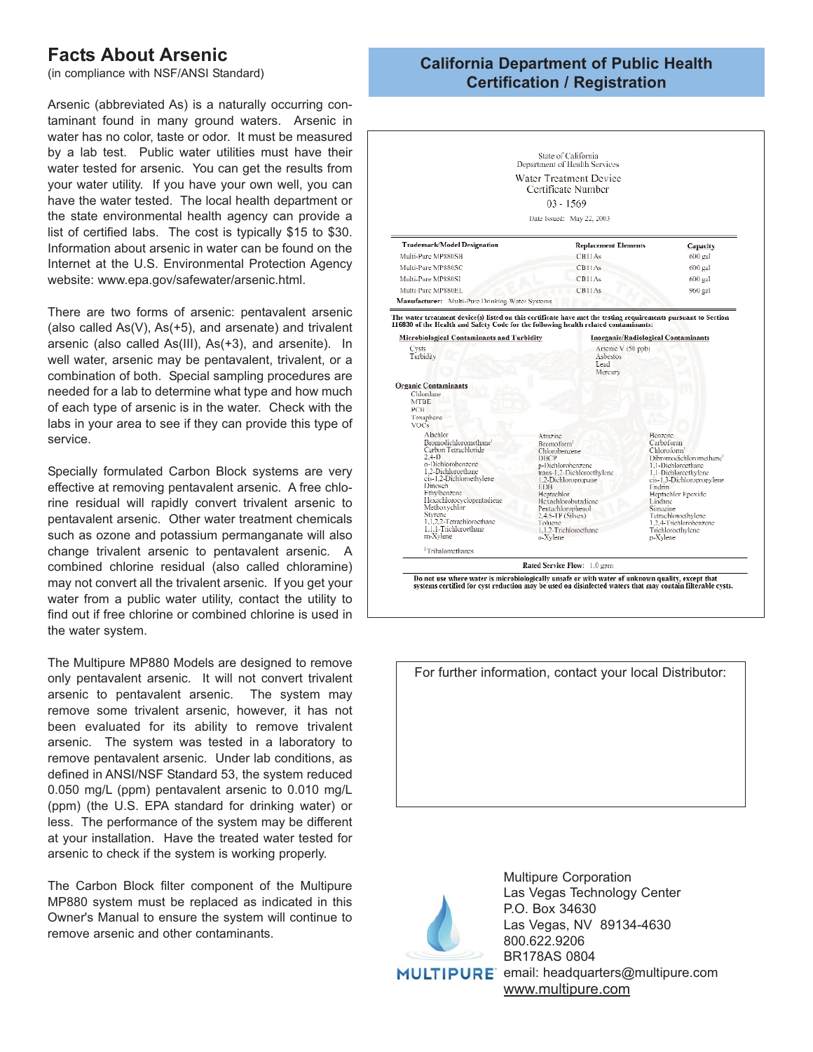# **Facts About Arsenic**

(in compliance with NSF/ANSI Standard)

Arsenic (abbreviated As) is a naturally occurring contaminant found in many ground waters. Arsenic in water has no color, taste or odor. It must be measured by a lab test. Public water utilities must have their water tested for arsenic. You can get the results from your water utility. If you have your own well, you can have the water tested. The local health department or the state environmental health agency can provide a list of certified labs. The cost is typically \$15 to \$30. Information about arsenic in water can be found on the Internet at the U.S. Environmental Protection Agency website: www.epa.gov/safewater/arsenic.html.

There are two forms of arsenic: pentavalent arsenic (also called As(V), As(+5), and arsenate) and trivalent arsenic (also called As(III), As(+3), and arsenite). In well water, arsenic may be pentavalent, trivalent, or a combination of both. Special sampling procedures are needed for a lab to determine what type and how much of each type of arsenic is in the water. Check with the labs in your area to see if they can provide this type of service.

Specially formulated Carbon Block systems are very effective at removing pentavalent arsenic. A free chlorine residual will rapidly convert trivalent arsenic to pentavalent arsenic. Other water treatment chemicals such as ozone and potassium permanganate will also change trivalent arsenic to pentavalent arsenic. A combined chlorine residual (also called chloramine) may not convert all the trivalent arsenic. If you get your water from a public water utility, contact the utility to find out if free chlorine or combined chlorine is used in the water system.

The Multipure MP880 Models are designed to remove only pentavalent arsenic. It will not convert trivalent arsenic to pentavalent arsenic. The system may remove some trivalent arsenic, however, it has not been evaluated for its ability to remove trivalent arsenic. The system was tested in a laboratory to remove pentavalent arsenic. Under lab conditions, as defined in ANSI/NSF Standard 53, the system reduced 0.050 mg/L (ppm) pentavalent arsenic to 0.010 mg/L (ppm) (the U.S. EPA standard for drinking water) or less. The performance of the system may be different at your installation. Have the treated water tested for arsenic to check if the system is working properly.

The Carbon Block filter component of the Multipure MP880 system must be replaced as indicated in this Owner's Manual to ensure the system will continue to remove arsenic and other contaminants.

## **California Department of Public Health Certification / Registration**

|                                                                                                                                                                                                                                                                                                      | State of California<br>Department of Health Services                                                                                                                                                                                                                               |                                                                                                                                                                                                                                                                                                 |
|------------------------------------------------------------------------------------------------------------------------------------------------------------------------------------------------------------------------------------------------------------------------------------------------------|------------------------------------------------------------------------------------------------------------------------------------------------------------------------------------------------------------------------------------------------------------------------------------|-------------------------------------------------------------------------------------------------------------------------------------------------------------------------------------------------------------------------------------------------------------------------------------------------|
|                                                                                                                                                                                                                                                                                                      | Water Treatment Device                                                                                                                                                                                                                                                             |                                                                                                                                                                                                                                                                                                 |
|                                                                                                                                                                                                                                                                                                      | Certificate Number                                                                                                                                                                                                                                                                 |                                                                                                                                                                                                                                                                                                 |
|                                                                                                                                                                                                                                                                                                      | $03 - 1569$                                                                                                                                                                                                                                                                        |                                                                                                                                                                                                                                                                                                 |
|                                                                                                                                                                                                                                                                                                      |                                                                                                                                                                                                                                                                                    |                                                                                                                                                                                                                                                                                                 |
|                                                                                                                                                                                                                                                                                                      | Date Issued: May 22, 2003                                                                                                                                                                                                                                                          |                                                                                                                                                                                                                                                                                                 |
| Trademark/Model Designation                                                                                                                                                                                                                                                                          | <b>Replacement Elements</b>                                                                                                                                                                                                                                                        | Capacity                                                                                                                                                                                                                                                                                        |
| Multi-Pure MP880SB                                                                                                                                                                                                                                                                                   | CB11As                                                                                                                                                                                                                                                                             | 600 gal                                                                                                                                                                                                                                                                                         |
| Multi-Pure MP880SC                                                                                                                                                                                                                                                                                   | <b>CB11As</b>                                                                                                                                                                                                                                                                      | 600 gal                                                                                                                                                                                                                                                                                         |
| Multi-Pure MP880SI                                                                                                                                                                                                                                                                                   | CBIIAs                                                                                                                                                                                                                                                                             | 600 gal                                                                                                                                                                                                                                                                                         |
| Multi-Pure MP880EL                                                                                                                                                                                                                                                                                   | <b>CB11As</b>                                                                                                                                                                                                                                                                      | 960 gal                                                                                                                                                                                                                                                                                         |
| Manufacturer: Multi-Pure Drinking Water Systems                                                                                                                                                                                                                                                      |                                                                                                                                                                                                                                                                                    |                                                                                                                                                                                                                                                                                                 |
| Turbidity                                                                                                                                                                                                                                                                                            | Asbestos<br>Lead<br>Mercury                                                                                                                                                                                                                                                        |                                                                                                                                                                                                                                                                                                 |
| <b>Organic Contaminants</b><br>Chlordane<br><b>MTRE</b><br>PCB                                                                                                                                                                                                                                       |                                                                                                                                                                                                                                                                                    |                                                                                                                                                                                                                                                                                                 |
| Toxaphene                                                                                                                                                                                                                                                                                            |                                                                                                                                                                                                                                                                                    |                                                                                                                                                                                                                                                                                                 |
| <b>VOCs</b><br>Alachlor                                                                                                                                                                                                                                                                              |                                                                                                                                                                                                                                                                                    |                                                                                                                                                                                                                                                                                                 |
| Bromodichloromethane <sup>1</sup><br>Carbon Tetrachloride<br>$2.4 - 11$<br>o-Dichlorobenzene<br>1.2-Dichloroethane<br>cis-1.2-Dichloroethylene<br>Dinosch<br>Ethylbenzene<br>Ilexachlorocyclopentadiene<br>Methoxychlor<br>Styrene<br>1.1.2.2-Tetrachloroethane<br>1.1.1-Trichloroethane<br>m-Xvlene | Atrazine<br>Bromoform <sup>1</sup><br>Chlorobenzene<br>DBCP<br>n-Diehlorobenzene<br>trans-1,2-Dichlorocthylene<br>1,2-Dichloropropane<br><b>EDB</b><br>Heptachlor<br>Hexachlorobutadiene<br>Pentachlorophenol<br>2.4.5-TP (Silvex)<br>Toluene<br>1,1,2-Trichloroethane<br>o-Xylene | Benzene<br>Carbofuran<br>Chloroform'<br>Dibromodichloromethane <sup>1</sup><br>1.1-Dichloroethane<br>1.1-Dichloroethylene<br>cis-1,3-Dichloropropylene<br>Endrin<br>Heptachlor Epoxide<br>Lindanc<br>Simazine<br>Tetrachloroethylene<br>1.2.4-Trichlorohenzene<br>Trichloroethylene<br>p-Xylene |
|                                                                                                                                                                                                                                                                                                      |                                                                                                                                                                                                                                                                                    |                                                                                                                                                                                                                                                                                                 |
| <sup>1</sup> Tribalomethanes                                                                                                                                                                                                                                                                         | Rated Service Flow: 1.0 gpm                                                                                                                                                                                                                                                        |                                                                                                                                                                                                                                                                                                 |





Multipure Corporation Las Vegas Technology Center P.O. Box 34630 Las Vegas, NV 89134-4630 800.622.9206 BR178AS 0804 MULTIPURE email: headquarters@multipure.com www.multipure.com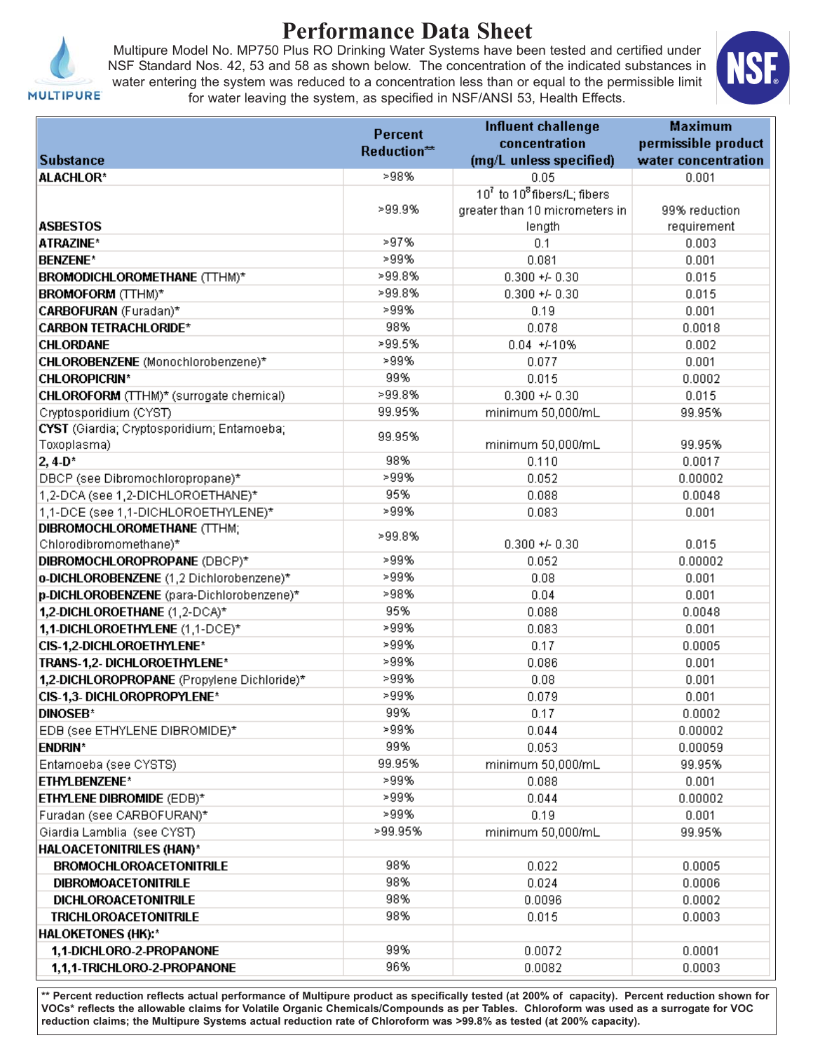

# **Performance Data Sheet**

Multipure Model No. MP750 Plus RO Drinking Water Systems have been tested and certified under NSF Standard Nos. 42, 53 and 58 as shown below. The concentration of the indicated substances in water entering the system was reduced to a concentration less than or equal to the permissible limit for water leaving the system, as specified in NSF/ANSI 53, Health Effects.



| <b>MULTIPURE</b> |  |  |
|------------------|--|--|
|                  |  |  |

|                                             | <b>Percent</b> | <b>Influent challenge</b>                           | <b>Maximum</b>      |
|---------------------------------------------|----------------|-----------------------------------------------------|---------------------|
|                                             | Reduction**    | concentration                                       | permissible product |
| <b>Substance</b>                            |                | (mq/L unless specified)                             | water concentration |
| <b>ALACHLOR*</b>                            | >98%           | 0.05                                                | 0.001               |
|                                             |                | 10 <sup>7</sup> to 10 <sup>8</sup> fibers/L; fibers |                     |
|                                             | >99.9%         | greater than 10 micrometers in                      | 99% reduction       |
| <b>ASBESTOS</b>                             |                | length                                              | requirement         |
| ATRAZINE*                                   | >97%           | 0.1                                                 | 0.003               |
| <b>BENZENE*</b>                             | >99%           | 0.081                                               | 0.001               |
| BROMODICHLOROMETHANE (TTHM)*                | >99.8%         | $0.300 + 0.30$                                      | 0.015               |
| <b>BROMOFORM</b> (TTHM)*                    | >99.8%         | $0.300 + 0.30$                                      | 0.015               |
| CARBOFURAN (Furadan)*                       | >99%           | 0.19                                                | 0.001               |
| <b>CARBON TETRACHLORIDE*</b>                | 98%            | 0.078                                               | 0.0018              |
| <b>CHLORDANE</b>                            | >99.5%         | $0.04 + 410%$                                       | 0.002               |
| CHLOROBENZENE (Monochlorobenzene)*          | >99%           | 0.077                                               | 0.001               |
| <b>CHLOROPICRIN*</b>                        | 99%            | 0.015                                               | 0.0002              |
| CHLOROFORM (TTHM)* (surrogate chemical)     | >99.8%         | $0.300 + 0.30$                                      | 0.015               |
| Cryptosporidium (CYST)                      | 99.95%         | minimum 50,000/mL                                   | 99.95%              |
| CYST (Giardia; Cryptosporidium; Entamoeba;  | 99.95%         |                                                     |                     |
| Toxoplasma)                                 |                | minimum 50,000/mL                                   | 99.95%              |
| $2,4-D*$                                    | 98%            | 0.110                                               | 0.0017              |
| DBCP (see Dibromochloropropane)*            | >99%           | 0.052                                               | 0.00002             |
| 1,2-DCA (see 1,2-DICHLOROETHANE)*           | 95%            | 0.088                                               | 0.0048              |
| 1,1-DCE (see 1,1-DICHLOROETHYLENE)*         | >99%           | 0.083                                               | 0.001               |
| DIBROMOCHLOROMETHANE (TTHM;                 | >99.8%         |                                                     |                     |
| Chlorodibromomethane)*                      |                | $0.300 + 0.30$                                      | 0.015               |
| DIBROMOCHLOROPROPANE (DBCP)*                | >99%           | 0.052                                               | 0.00002             |
| o-DICHLOROBENZENE (1,2 Dichlorobenzene)*    | >99%           | 0.08                                                | 0.001               |
| p-DICHLOROBENZENE (para-Dichlorobenzene)*   | >98%           | 0.04                                                | 0.001               |
| 1,2-DICHLOROETHANE (1,2-DCA)*               | 95%            | 0.088                                               | 0.0048              |
| 1,1-DICHLOROETHYLENE (1,1-DCE)*             | >99%           | 0.083                                               | 0.001               |
| CIS-1,2-DICHLOROETHYLENE*                   | >99%           | 0.17                                                | 0.0005              |
| TRANS-1,2- DICHLOROETHYLENE*                | >99%           | 0.086                                               | 0.001               |
| 1,2-DICHLOROPROPANE (Propylene Dichloride)* | >99%           | 0.08                                                | 0.001               |
| CIS-1,3- DICHLOROPROPYLENE*                 | >99%           | 0.079                                               | 0.001               |
| <b>DINOSEB*</b>                             | 99%            | 0.17                                                | 0.0002              |
| EDB (see ETHYLENE DIBROMIDE)*               | >99%           | 0.044                                               | 0.00002             |
| <b>ENDRIN*</b>                              | 99%            | 0.053                                               | 0.00059             |
| Entamoeba (see CYSTS)                       | 99.95%<br>>99% | minimum 50,000/mL                                   | 99.95%              |
| ETHYLBENZENE*                               | >99%           | 0.088                                               | 0.001               |
| ETHYLENE DIBROMIDE (EDB)*                   |                | 0.044                                               | 0.00002             |
| Furadan (see CARBOFURAN)*                   | >99%           | 0.19                                                | 0.001               |
| Giardia Lamblia (see CYST)                  | >99.95%        | minimum 50,000/mL                                   | 99.95%              |
| HALOACETONITRILES (HAN)*                    |                |                                                     |                     |
| <b>BROMOCHLOROACETONITRILE</b>              | 98%            | 0.022                                               | 0.0005              |
| <b>DIBROMOACETONITRILE</b>                  | 98%            | 0.024                                               | 0.0006              |
| <b>DICHLOROACETONITRILE</b>                 | 98%            | 0.0096                                              | 0.0002              |
| <b>TRICHLOROACETONITRILE</b>                | 98%            | 0.015                                               | 0.0003              |
| <b>HALOKETONES (HK):*</b>                   |                |                                                     |                     |
| 1,1-DICHLORO-2-PROPANONE                    | 99%            | 0.0072                                              | 0.0001              |
| 1,1,1-TRICHLORO-2-PROPANONE                 | 96%            | 0.0082                                              | 0.0003              |

**\*\* Percent reduction reflects actual performance of Multipure product as specifically tested (at 200% of capacity). Percent reduction shown for VOCs\* reflects the allowable claims for Volatile Organic Chemicals/Compounds as per Tables. Chloroform was used as a surrogate for VOC reduction claims; the Multipure Systems actual reduction rate of Chloroform was >99.8% as tested (at 200% capacity).**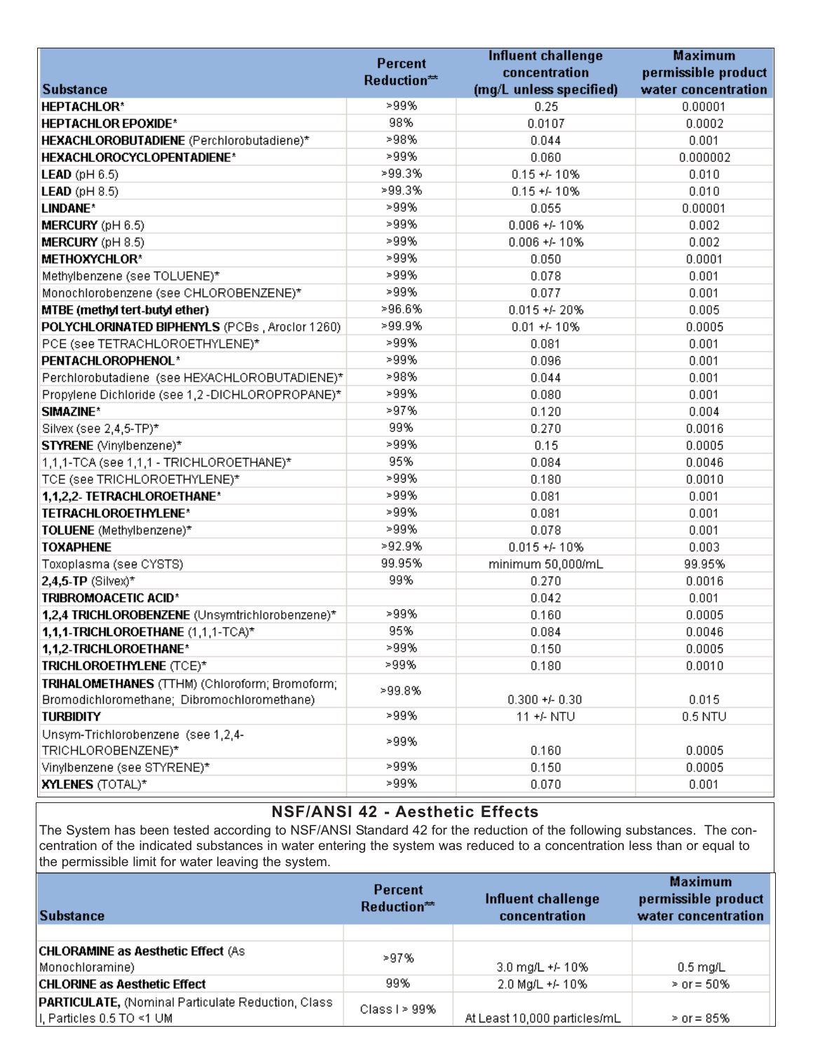|                                                                                               | <b>Percent</b> | <b>Influent challenge</b> | <b>Maximum</b>      |
|-----------------------------------------------------------------------------------------------|----------------|---------------------------|---------------------|
|                                                                                               | Reduction**    | concentration             | permissible product |
| <b>Substance</b>                                                                              |                | (mg/L unless specified)   | water concentration |
| <b>HEPTACHLOR*</b>                                                                            | >99%           | 0.25                      | 0.00001             |
| <b>HEPTACHLOR EPOXIDE*</b>                                                                    | 98%            | 0.0107                    | 0.0002              |
| HEXACHLOROBUTADIENE (Perchlorobutadiene)*                                                     | >98%           | 0.044                     | 0.001               |
| HEXACHLOROCYCLOPENTADIENE*                                                                    | >99%           | 0.060                     | 0.000002            |
| <b>LEAD</b> ( $pH 6.5$ )                                                                      | >99.3%         | $0.15 + 10\%$             | 0.010               |
| <b>LEAD</b> ( $pH 8.5$ )                                                                      | >99.3%         | $0.15 + 10\%$             | 0.010               |
| LINDANE*                                                                                      | >99%           | 0.055                     | 0.00001             |
| MERCURY (pH 6.5)                                                                              | >99%           | $0.006 + 410%$            | 0.002               |
| MERCURY (pH 8.5)                                                                              | >99%           | $0.006 + 410%$            | 0.002               |
| <b>METHOXYCHLOR*</b>                                                                          | >99%           | 0.050                     | 0.0001              |
| Methylbenzene (see TOLUENE)*                                                                  | >99%           | 0.078                     | 0.001               |
| Monochlorobenzene (see CHLOROBENZENE)*                                                        | >99%           | 0.077                     | 0.001               |
| MTBE (methyl tert-butyl ether)                                                                | >96.6%         | $0.015 + 20%$             | 0.005               |
| POLYCHLORINATED BIPHENYLS (PCBs, Aroclor 1260)                                                | >99.9%         | $0.01 + 410%$             | 0.0005              |
| PCE (see TETRACHLOROETHYLENE)*                                                                | >99%           | 0.081                     | 0.001               |
| PENTACHLOROPHENOL*                                                                            | >99%           | 0.096                     | 0.001               |
| Perchlorobutadiene (see HEXACHLOROBUTADIENE)*                                                 | >98%           | 0.044                     | 0.001               |
| Propylene Dichloride (see 1,2-DICHLOROPROPANE)*                                               | >99%           | 0.080                     | 0.001               |
| SIMAZINE*                                                                                     | >97%           | 0.120                     | 0.004               |
| Silvex (see 2,4,5-TP)*                                                                        | 99%            | 0.270                     | 0.0016              |
| STYRENE (Vinylbenzene)*                                                                       | >99%           | 0.15                      | 0.0005              |
| 1,1,1-TCA (see 1,1,1 - TRICHLOROETHANE)*                                                      | 95%            | 0.084                     | 0.0046              |
| TCE (see TRICHLOROETHYLENE)*                                                                  | >99%           | 0.180                     | 0.0010              |
| 1,1,2,2- TETRACHLOROETHANE*                                                                   | >99%           | 0.081                     | 0.001               |
| TETRACHLOROETHYLENE*                                                                          | >99%           | 0.081                     | 0.001               |
| TOLUENE (Methylbenzene)*                                                                      | >99%           | 0.078                     | 0.001               |
| <b>TOXAPHENE</b>                                                                              | >92.9%         | $0.015 + 10\%$            | 0.003               |
| Toxoplasma (see CYSTS)                                                                        | 99.95%         | minimum 50,000/mL         | 99.95%              |
| $2,4,5$ -TP (Silvex)*                                                                         | 99%            | 0.270                     | 0.0016              |
| TRIBROMOACETIC ACID*                                                                          |                | 0.042                     | 0.001               |
| 1,2,4 TRICHLOROBENZENE (Unsymtrichlorobenzene)*                                               | >99%           | 0.160                     | 0.0005              |
| 1,1,1-TRICHLOROETHANE (1,1,1-TCA)*                                                            | 95%            | 0.084                     | 0.0046              |
| 1,1,2-TRICHLOROETHANE*                                                                        | >99%           | 0.150                     | 0.0005              |
| TRICHLOROETHYLENE (TCE)*                                                                      | >99%           | 0.180                     | 0.0010              |
| TRIHALOMETHANES (TTHM) (Chloroform; Bromoform;<br>Bromodichloromethane; Dibromochloromethane) | >99.8%         | $0.300 + 0.30$            | 0.015               |
| <b>TURBIDITY</b>                                                                              | >99%           | 11 +/- NTU                | $0.5$ NTU           |
| Unsym-Trichlorobenzene (see 1,2,4-<br>TRICHLOROBENZENE)*                                      | >99%           | 0.160                     | 0.0005              |
| Vinylbenzene (see STYRENE)*                                                                   | >99%           | 0.150                     | 0.0005              |
| <b>XYLENES (TOTAL)*</b>                                                                       | >99%           | 0.070                     | 0.001               |

# **NSF/ANSI 42 - Aesthetic Effects**

The System has been tested according to NSF/ANSI Standard 42 for the reduction of the following substances. The concentration of the indicated substances in water entering the system was reduced to a concentration less than or equal to the permissible limit for water leaving the system.

| Substance                                                                                | Percent<br>Reduction** | Influent challenge<br>concentration | <b>Maximum</b><br>permissible product<br>water concentration |
|------------------------------------------------------------------------------------------|------------------------|-------------------------------------|--------------------------------------------------------------|
| <b>CHLORAMINE as Aesthetic Effect (As</b><br>Monochloramine)                             | >97%                   | 3.0 mg/L +/- 10%                    | $0.5 \text{ mg/L}$                                           |
| <b>CHLORINE as Aesthetic Effect</b>                                                      | 99%                    | 2.0 Mg/L +/- 10%                    | $>$ or = 50%                                                 |
| <b>PARTICULATE, (Nominal Particulate Reduction, Class)</b><br>II, Particles 0.5 TO <1 UM | Class I $> 99\%$       | At Least 10,000 particles/mL        | $>$ or = 85%                                                 |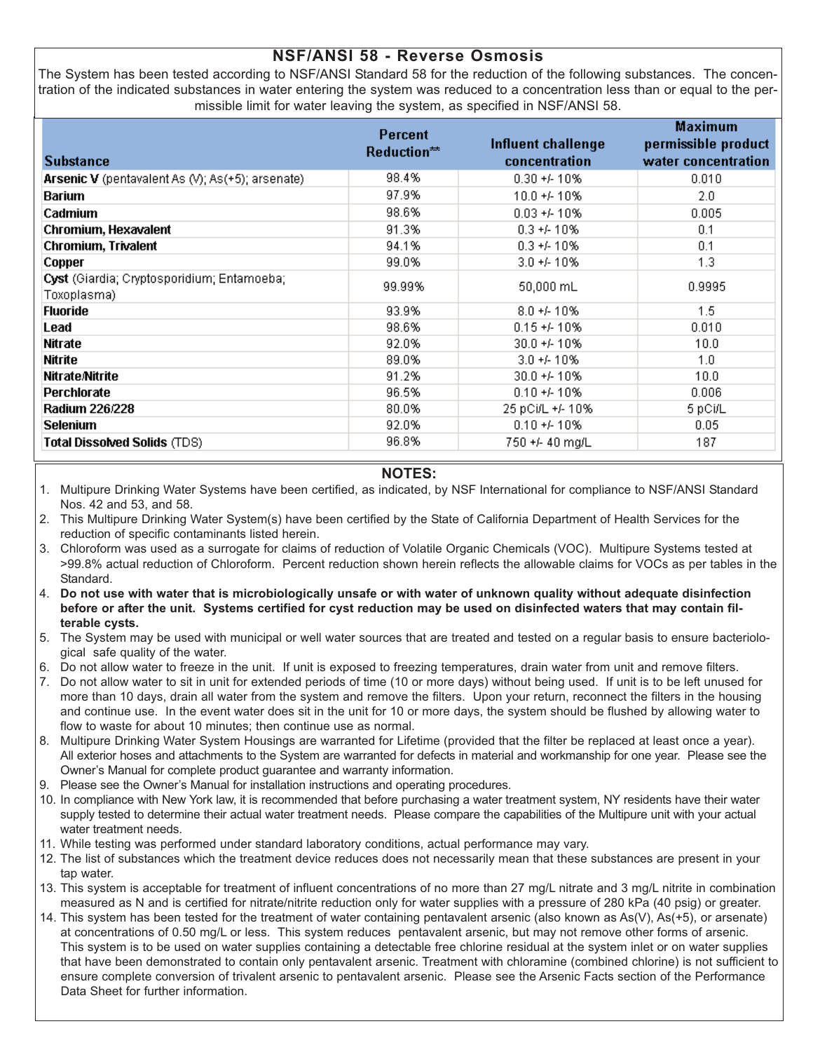### **NSF/ANSI 58 - Reverse Osmosis**

The System has been tested according to NSF/ANSI Standard 58 for the reduction of the following substances. The concentration of the indicated substances in water entering the system was reduced to a concentration less than or equal to the permissible limit for water leaving the system, as specified in NSF/ANSI 58.

| <b>Substance</b>                                          | <b>Percent</b><br>Reduction** | Influent challenge<br>concentration | <b>Maximum</b><br>permissible product<br>water concentration |
|-----------------------------------------------------------|-------------------------------|-------------------------------------|--------------------------------------------------------------|
| Arsenic V (pentavalent As (V); As(+5); arsenate)          | 98.4%                         | $0.30 + 410%$                       | 0.010                                                        |
| <b>Barium</b>                                             | 97.9%                         | 10.0 +/- 10%                        | 2.0                                                          |
| Cadmium                                                   | 98.6%                         | $0.03 + 410%$                       | 0.005                                                        |
| Chromium, Hexavalent                                      | 91.3%                         | $0.3 + 4.10%$                       | 0.1                                                          |
| Chromium, Trivalent                                       | 94.1%                         | $0.3 + 10\%$                        | 0.1                                                          |
| Copper                                                    | 99.0%                         | $3.0 + 4.10%$                       | 1.3                                                          |
| Cyst (Giardia; Cryptosporidium; Entamoeba;<br>Toxoplasma) | 99.99%                        | 50,000 mL                           | 0.9995                                                       |
| <b>Fluoride</b>                                           | 93.9%                         | $8.0 + 4.10%$                       | 1.5                                                          |
| Lead                                                      | 98.6%                         | $0.15 + 10\%$                       | 0.010                                                        |
| Nitrate                                                   | 92.0%                         | $30.0 + 410%$                       | 10.0                                                         |
| Nitrite                                                   | 89.0%                         | $3.0 + 4.10%$                       | 1.0                                                          |
| <b>Nitrate Nitrite</b>                                    | 91.2%                         | 30.0 +/- 10%                        | 10.0                                                         |
| Perchlorate                                               | 96.5%                         | $0.10 + 4.10%$                      | 0.006                                                        |
| <b>Radium 226/228</b>                                     | 80.0%                         | 25 pCi/L +/- 10%                    | 5 pCi/L                                                      |
| Selenium                                                  | 92.0%                         | $0.10 + 4.10%$                      | 0.05                                                         |
| <b>Total Dissolved Solids (TDS)</b>                       | 96.8%                         | 750 +/- 40 mg/L                     | 187                                                          |

#### **NOTES:**

1. Multipure Drinking Water Systems have been certified, as indicated, by NSF International for compliance to NSF/ANSI Standard Nos. 42 and 53, and 58.

- 2. This Multipure Drinking Water System(s) have been certified by the State of California Department of Health Services for the reduction of specific contaminants listed herein.
- 3. Chloroform was used as a surrogate for claims of reduction of Volatile Organic Chemicals (VOC). Multipure Systems tested at >99.8% actual reduction of Chloroform. Percent reduction shown herein reflects the allowable claims for VOCs as per tables in the Standard.
- 4. **Do not use with water that is microbiologically unsafe or with water of unknown quality without adequate disinfection before or after the unit. Systems certified for cyst reduction may be used on disinfected waters that may contain filterable cysts.**
- 5. The System may be used with municipal or well water sources that are treated and tested on a regular basis to ensure bacteriological safe quality of the water.
- 6. Do not allow water to freeze in the unit. If unit is exposed to freezing temperatures, drain water from unit and remove filters.
- 7. Do not allow water to sit in unit for extended periods of time (10 or more days) without being used. If unit is to be left unused for more than 10 days, drain all water from the system and remove the filters. Upon your return, reconnect the filters in the housing and continue use. In the event water does sit in the unit for 10 or more days, the system should be flushed by allowing water to flow to waste for about 10 minutes; then continue use as normal.
- 8. Multipure Drinking Water System Housings are warranted for Lifetime (provided that the filter be replaced at least once a year). All exterior hoses and attachments to the System are warranted for defects in material and workmanship for one year. Please see the Owner's Manual for complete product guarantee and warranty information.
- 9. Please see the Owner's Manual for installation instructions and operating procedures.
- 10. In compliance with New York law, it is recommended that before purchasing a water treatment system, NY residents have their water supply tested to determine their actual water treatment needs. Please compare the capabilities of the Multipure unit with your actual water treatment needs.
- 11. While testing was performed under standard laboratory conditions, actual performance may vary.
- 12. The list of substances which the treatment device reduces does not necessarily mean that these substances are present in your tap water.
- 13. This system is acceptable for treatment of influent concentrations of no more than 27 mg/L nitrate and 3 mg/L nitrite in combination measured as N and is certified for nitrate/nitrite reduction only for water supplies with a pressure of 280 kPa (40 psig) or greater.
- 14. This system has been tested for the treatment of water containing pentavalent arsenic (also known as As(V), As(+5), or arsenate) at concentrations of 0.50 mg/L or less. This system reduces pentavalent arsenic, but may not remove other forms of arsenic. This system is to be used on water supplies containing a detectable free chlorine residual at the system inlet or on water supplies that have been demonstrated to contain only pentavalent arsenic. Treatment with chloramine (combined chlorine) is not sufficient to ensure complete conversion of trivalent arsenic to pentavalent arsenic. Please see the Arsenic Facts section of the Performance Data Sheet for further information.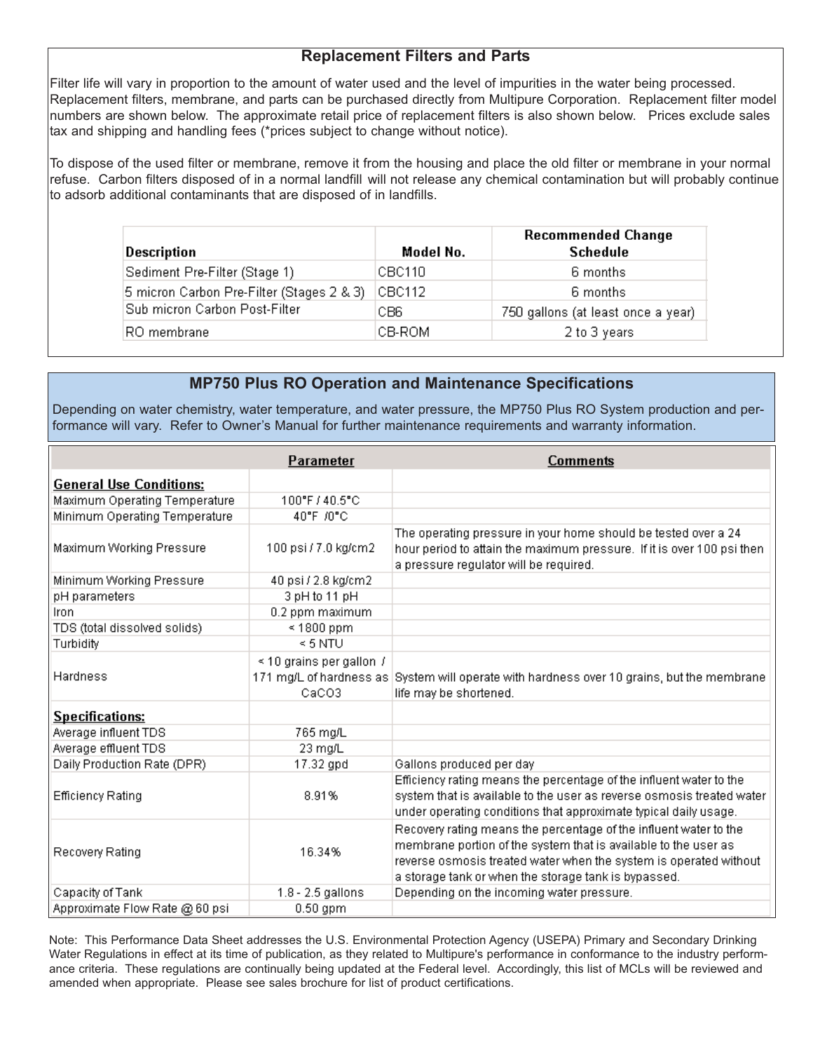## **Replacement Filters and Parts**

Filter life will vary in proportion to the amount of water used and the level of impurities in the water being processed. Replacement filters, membrane, and parts can be purchased directly from Multipure Corporation. Replacement filter model numbers are shown below. The approximate retail price of replacement filters is also shown below. Prices exclude sales tax and shipping and handling fees (\*prices subject to change without notice).

To dispose of the used filter or membrane, remove it from the housing and place the old filter or membrane in your normal refuse. Carbon filters disposed of in a normal landfill will not release any chemical contamination but will probably continue to adsorb additional contaminants that are disposed of in landfills.

| Description                               | Model No. | <b>Recommended Change</b><br><b>Schedule</b> |
|-------------------------------------------|-----------|----------------------------------------------|
| Sediment Pre-Filter (Stage 1)             | CBC110    | 6 months                                     |
| 5 micron Carbon Pre-Filter (Stages 2 & 3) | CBC112    | 6 months                                     |
| Sub micron Carbon Post-Filter             | CB6       | 750 gallons (at least once a year)           |
| RO membrane                               | CB-ROM    | 2 to 3 years                                 |

## **MP750 Plus RO Operation and Maintenance Specifications**

Depending on water chemistry, water temperature, and water pressure, the MP750 Plus RO System production and performance will vary. Refer to Owner's Manual for further maintenance requirements and warranty information.

|                                | Parameter                              | <b>Comments</b>                                                                                                                                                                                                                                                   |
|--------------------------------|----------------------------------------|-------------------------------------------------------------------------------------------------------------------------------------------------------------------------------------------------------------------------------------------------------------------|
| <b>General Use Conditions:</b> |                                        |                                                                                                                                                                                                                                                                   |
| Maximum Operating Temperature  | 100°F / 40.5°C                         |                                                                                                                                                                                                                                                                   |
| Minimum Operating Temperature  | 40°F /0°C                              |                                                                                                                                                                                                                                                                   |
| Maximum Working Pressure       | 100 psi / 7.0 kg/cm2                   | The operating pressure in your home should be tested over a 24<br>hour period to attain the maximum pressure. If it is over 100 psi then-<br>a pressure regulator will be required.                                                                               |
| Minimum Working Pressure       | 40 psi / 2.8 kg/cm2                    |                                                                                                                                                                                                                                                                   |
| pH parameters                  | 3 pH to 11 pH                          |                                                                                                                                                                                                                                                                   |
| Iron                           | 0.2 ppm maximum                        |                                                                                                                                                                                                                                                                   |
| TDS (total dissolved solids)   | $\leq 1800$ ppm                        |                                                                                                                                                                                                                                                                   |
| Turbidity                      | $\leq$ 5 NTU                           |                                                                                                                                                                                                                                                                   |
| Hardness                       | $\leq$ 10 grains per gallon /<br>CaCO3 | 171 mg/L of hardness as System will operate with hardness over 10 grains, but the membrane<br>life may be shortened.                                                                                                                                              |
| <b>Specifications:</b>         |                                        |                                                                                                                                                                                                                                                                   |
| Average influent TDS           | 765 mg/L                               |                                                                                                                                                                                                                                                                   |
| Average effluent TDS           | 23 mg/L                                |                                                                                                                                                                                                                                                                   |
| Daily Production Rate (DPR)    | 17.32 gpd                              | Gallons produced per day                                                                                                                                                                                                                                          |
| <b>Efficiency Rating</b>       | 8.91%                                  | Efficiency rating means the percentage of the influent water to the<br>system that is available to the user as reverse osmosis treated water<br>under operating conditions that approximate typical daily usage.                                                  |
| Recovery Rating                | 16.34%                                 | Recovery rating means the percentage of the influent water to the<br>membrane portion of the system that is available to the user as<br>reverse osmosis treated water when the system is operated without<br>a storage tank or when the storage tank is bypassed. |
| Capacity of Tank               | 1.8 - 2.5 gallons                      | Depending on the incoming water pressure.                                                                                                                                                                                                                         |
| Approximate Flow Rate @ 60 psi | $0.50$ gpm                             |                                                                                                                                                                                                                                                                   |

Note: This Performance Data Sheet addresses the U.S. Environmental Protection Agency (USEPA) Primary and Secondary Drinking Water Regulations in effect at its time of publication, as they related to Multipure's performance in conformance to the industry performance criteria. These regulations are continually being updated at the Federal level. Accordingly, this list of MCLs will be reviewed and amended when appropriate. Please see sales brochure for list of product certifications.